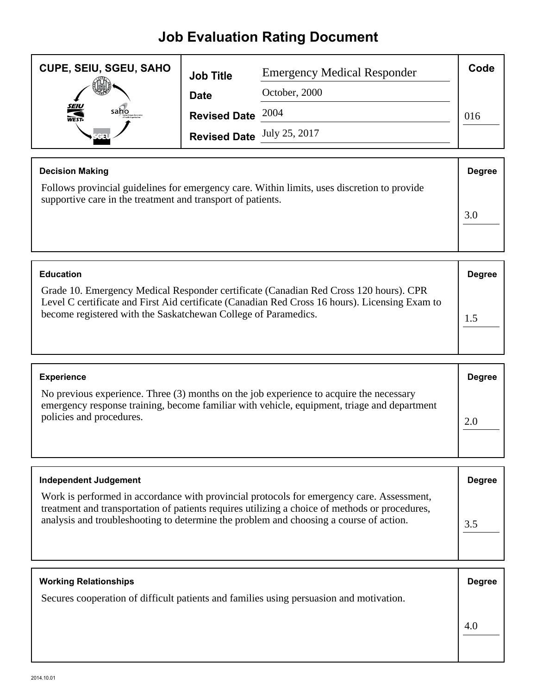## **Job Evaluation Rating Document**

| <b>CUPE, SEIU, SGEU, SAHO</b> | <b>Job Title</b>                  | <b>Emergency Medical Responder</b> | Code |
|-------------------------------|-----------------------------------|------------------------------------|------|
|                               | <b>Date</b>                       | October, 2000                      |      |
| <b>SEIU</b><br>WEST-<br>saho  | Revised Date $2004$               |                                    | 016  |
|                               | <b>Revised Date</b> July 25, 2017 |                                    |      |

| <b>Degree</b> |
|---------------|
|               |
|               |
|               |
|               |

| <b>Education</b>                                                                                                                                                                                                                                          | <b>Degree</b> |
|-----------------------------------------------------------------------------------------------------------------------------------------------------------------------------------------------------------------------------------------------------------|---------------|
| Grade 10. Emergency Medical Responder certificate (Canadian Red Cross 120 hours). CPR<br>Level C certificate and First Aid certificate (Canadian Red Cross 16 hours). Licensing Exam to<br>become registered with the Saskatchewan College of Paramedics. |               |

| <b>Experience</b>                                                                                                                                                                                                  | <b>Degree</b> |
|--------------------------------------------------------------------------------------------------------------------------------------------------------------------------------------------------------------------|---------------|
| No previous experience. Three (3) months on the job experience to acquire the necessary<br>emergency response training, become familiar with vehicle, equipment, triage and department<br>policies and procedures. | 2.0           |

| <b>Independent Judgement</b>                                                                                                                                                                                                                                                          | <b>Degree</b> |
|---------------------------------------------------------------------------------------------------------------------------------------------------------------------------------------------------------------------------------------------------------------------------------------|---------------|
| Work is performed in accordance with provincial protocols for emergency care. Assessment,<br>treatment and transportation of patients requires utilizing a choice of methods or procedures,<br>analysis and troubleshooting to determine the problem and choosing a course of action. | 3.5           |

| <b>Working Relationships</b>                                                            | <b>Degree</b> |
|-----------------------------------------------------------------------------------------|---------------|
| Secures cooperation of difficult patients and families using persuasion and motivation. |               |
|                                                                                         | 4.0           |
|                                                                                         |               |